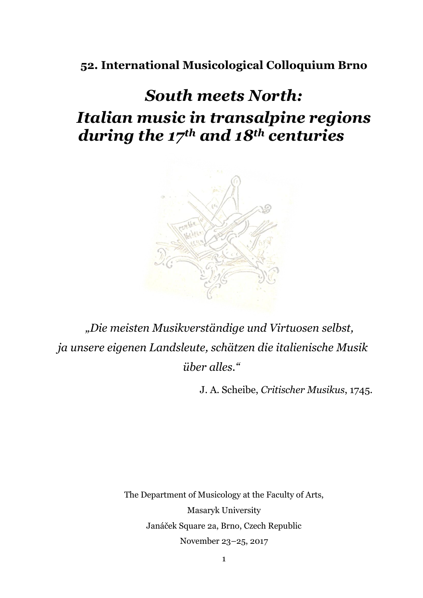# **52. International Musicological Colloquium Brno**

# *South meets North: Italian music in transalpine regions during the 17th and 18th centuries*



*"Die meisten Musikverständige und Virtuosen selbst, ja unsere eigenen Landsleute, schätzen die italienische Musik über alles."*

J. A. Scheibe, *Critischer Musikus*, 1745.

The Department of Musicology at the Faculty of Arts, Masaryk University Janáček Square 2a, Brno, Czech Republic November 23–25, 2017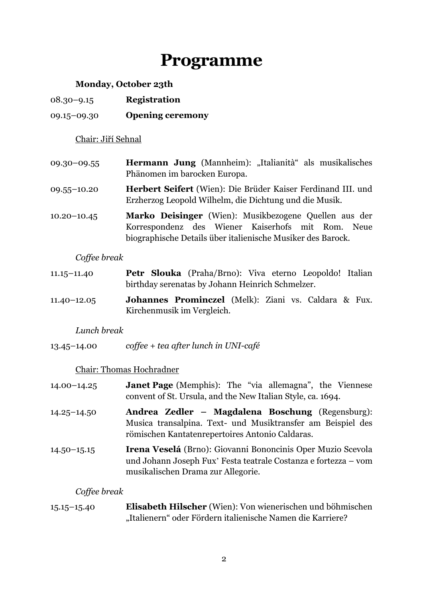# **Programme**

# **Monday, October 23th**

- 08.30–9.15 **Registration**
- 09.15–09.30 **Opening ceremony**

# Chair: Jiří Sehnal

- 09.30–09.55 **Hermann Jung** (Mannheim): "Italianità" als musikalisches Phänomen im barocken Europa.
- 09.55–10.20 **Herbert Seifert** (Wien): Die Brüder Kaiser Ferdinand III. und Erzherzog Leopold Wilhelm, die Dichtung und die Musik.
- 10.20–10.45 **Marko Deisinger** (Wien): Musikbezogene Quellen aus der Korrespondenz des Wiener Kaiserhofs mit Rom. Neue biographische Details über italienische Musiker des Barock.

# *Coffee break*

- 11.15–11.40 **Petr Slouka** (Praha/Brno): Viva eterno Leopoldo! Italian birthday serenatas by Johann Heinrich Schmelzer.
- 11.40–12.05 **Johannes Prominczel** (Melk): Ziani vs. Caldara & Fux. Kirchenmusik im Vergleich.

# *Lunch break*

13.45–14.00 *coffee + tea after lunch in UNI-café*

# Chair: Thomas Hochradner

- 14.00–14.25 **Janet Page** (Memphis): The "via allemagna", the Viennese convent of St. Ursula, and the New Italian Style, ca. 1694.
- 14.25–14.50 **Andrea Zedler – Magdalena Boschung** (Regensburg): Musica transalpina. Text- und Musiktransfer am Beispiel des römischen Kantatenrepertoires Antonio Caldaras.
- 14.50–15.15 **Irena Veselá** (Brno): Giovanni Bononcinis Oper Muzio Scevola und Johann Joseph Fux' Festa teatrale Costanza e fortezza – vom musikalischen Drama zur Allegorie.

# *Coffee break*

15.15–15.40 **Elisabeth Hilscher** (Wien): Von wienerischen und böhmischen "Italienern" oder Fördern italienische Namen die Karriere?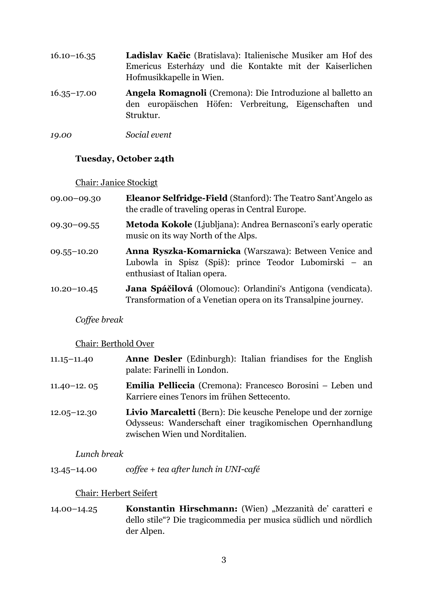- 16.10–16.35 **Ladislav Kačic** (Bratislava): Italienische Musiker am Hof des Emericus Esterházy und die Kontakte mit der Kaiserlichen Hofmusikkapelle in Wien.
- 16.35–17.00 **Angela Romagnoli** (Cremona): Die Introduzione al balletto an den europäischen Höfen: Verbreitung, Eigenschaften und Struktur.
- *19.00 Social event*

### **Tuesday, October 24th**

#### Chair: Janice Stockigt

| 09.00-09.30     | <b>Eleanor Selfridge-Field</b> (Stanford): The Teatro Sant'Angelo as<br>the cradle of traveling operas in Central Europe.                       |
|-----------------|-------------------------------------------------------------------------------------------------------------------------------------------------|
| $09.30 - 09.55$ | <b>Metoda Kokole</b> (Ljubljana): Andrea Bernasconi's early operatic<br>music on its way North of the Alps.                                     |
| $09.55 - 10.20$ | Anna Ryszka-Komarnicka (Warszawa): Between Venice and<br>Lubowla in Spisz (Spiš): prince Teodor Lubomirski – an<br>enthusiast of Italian opera. |
| $10.20 - 10.45$ | Jana Spáčilová (Olomouc): Orlandini's Antigona (vendicata).<br>Transformation of a Venetian opera on its Transalpine journey.                   |

#### *Coffee break*

#### Chair: Berthold Over

| $11.15 - 11.40$ | <b>Anne Desler</b> (Edinburgh): Italian friandises for the English<br>palate: Farinelli in London.                         |
|-----------------|----------------------------------------------------------------------------------------------------------------------------|
| $11.40 - 12.05$ | <b>Emilia Pelliccia</b> (Cremona): Francesco Borosini – Leben und<br>Karriere eines Tenors im frühen Settecento.           |
| $12.05 - 12.30$ | Livio Marcaletti (Bern): Die keusche Penelope und der zornige<br>Odysseus: Wanderschaft einer tragikomischen Opernhandlung |

zwischen Wien und Norditalien.

#### *Lunch break*

13.45–14.00 *coffee + tea after lunch in UNI-café*

#### Chair: Herbert Seifert

14.00–14.25 **Konstantin Hirschmann:** (Wien) "Mezzanità de' caratteri e dello stile"? Die tragicommedia per musica südlich und nördlich der Alpen.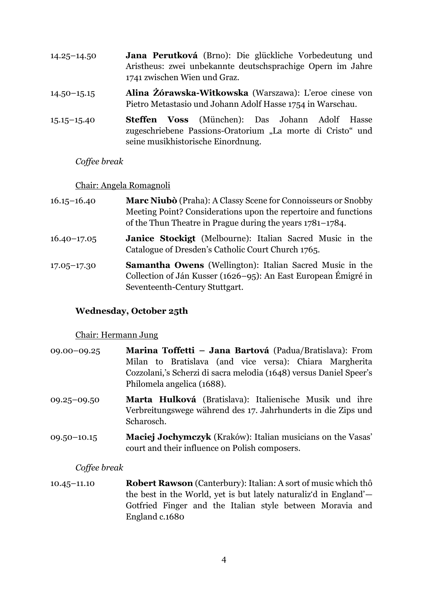| $14.25 - 14.50$ | Jana Perutková (Brno): Die glückliche Vorbedeutung und<br>Aristheus: zwei unbekannte deutschsprachige Opern im Jahre<br>1741 zwischen Wien und Graz. |
|-----------------|------------------------------------------------------------------------------------------------------------------------------------------------------|
| $14.50 - 15.15$ | Alina Żórawska-Witkowska (Warszawa): L'eroe cinese von<br>Pietro Metastasio und Johann Adolf Hasse 1754 in Warschau.                                 |
| $15.15 - 15.40$ | <b>Voss</b> (München): Das Johann Adolf Hasse<br><b>Steffen</b><br>zugeschriebene Passions-Oratorium "La morte di Cristo" und                        |

seine musikhistorische Einordnung.

### *Coffee break*

#### Chair: Angela Romagnoli

- 16.15–16.40 **Marc Niubò** (Praha): A Classy Scene for Connoisseurs or Snobby Meeting Point? Considerations upon the repertoire and functions of the Thun Theatre in Prague during the years 1781–1784.
- 16.40–17.05 **Janice Stockigt** (Melbourne): Italian Sacred Music in the Catalogue of Dresden's Catholic Court Church 1765.
- 17.05–17.30 **Samantha Owens** (Wellington): Italian Sacred Music in the Collection of Ján Kusser (1626–95): An East European Émigré in Seventeenth-Century Stuttgart.

# **Wednesday, October 25th**

#### Chair: Hermann Jung

- 09.00–09.25 **Marina Toffetti – Jana Bartová** (Padua/Bratislava): From Milan to Bratislava (and vice versa): Chiara Margherita Cozzolani,'s Scherzi di sacra melodia (1648) versus Daniel Speer's Philomela angelica (1688).
- 09.25–09.50 **Marta Hulková** (Bratislava): Italienische Musik und ihre Verbreitungswege während des 17. Jahrhunderts in die Zips und Scharosch.
- 09.50–10.15 **Maciej Jochymczyk** (Kraków): Italian musicians on the Vasas' court and their influence on Polish composers.

#### *Coffee break*

10.45–11.10 **Robert Rawson** (Canterbury): Italian: A sort of music which thô the best in the World, yet is but lately naturaliz'd in England'— Gotfried Finger and the Italian style between Moravia and England c.1680